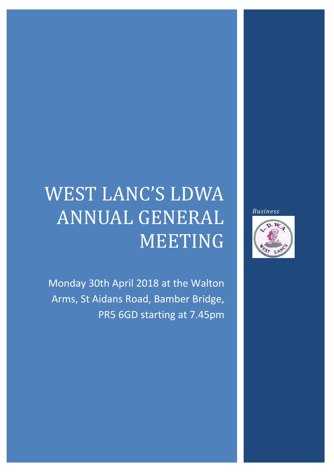# WEST LANC'S LDWA ANNUAL GENERAL MEETING

Monday 30th April 2018 at the Walton Arms, St Aidans Road, Bamber Bridge, PR5 6GD starting at 7.45pm *Business*

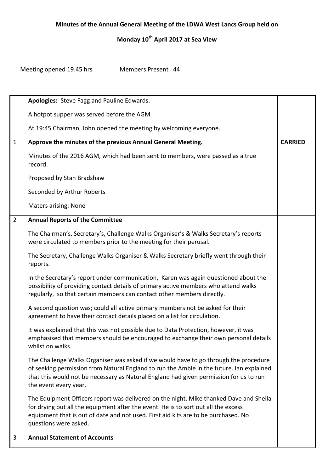# **Monday 10th April 2017 at Sea View**

Meeting opened 19.45 hrs Members Present 44

|                | Apologies: Steve Fagg and Pauline Edwards.                                                                                                                                                                                                                                                          |                |
|----------------|-----------------------------------------------------------------------------------------------------------------------------------------------------------------------------------------------------------------------------------------------------------------------------------------------------|----------------|
|                | A hotpot supper was served before the AGM                                                                                                                                                                                                                                                           |                |
|                | At 19:45 Chairman, John opened the meeting by welcoming everyone.                                                                                                                                                                                                                                   |                |
| $\mathbf{1}$   | Approve the minutes of the previous Annual General Meeting.                                                                                                                                                                                                                                         | <b>CARRIED</b> |
|                | Minutes of the 2016 AGM, which had been sent to members, were passed as a true<br>record.                                                                                                                                                                                                           |                |
|                | Proposed by Stan Bradshaw                                                                                                                                                                                                                                                                           |                |
|                | Seconded by Arthur Roberts                                                                                                                                                                                                                                                                          |                |
|                | <b>Maters arising: None</b>                                                                                                                                                                                                                                                                         |                |
| $\overline{2}$ | <b>Annual Reports of the Committee</b>                                                                                                                                                                                                                                                              |                |
|                | The Chairman's, Secretary's, Challenge Walks Organiser's & Walks Secretary's reports<br>were circulated to members prior to the meeting for their perusal.                                                                                                                                          |                |
|                | The Secretary, Challenge Walks Organiser & Walks Secretary briefly went through their<br>reports.                                                                                                                                                                                                   |                |
|                | In the Secretary's report under communication, Karen was again questioned about the<br>possibility of providing contact details of primary active members who attend walks<br>regularly, so that certain members can contact other members directly.                                                |                |
|                | A second question was; could all active primary members not be asked for their<br>agreement to have their contact details placed on a list for circulation.                                                                                                                                         |                |
|                | It was explained that this was not possible due to Data Protection, however, it was<br>emphasised that members should be encouraged to exchange their own personal details<br>whilst on walks.                                                                                                      |                |
|                | The Challenge Walks Organiser was asked if we would have to go through the procedure<br>of seeking permission from Natural England to run the Amble in the future. Ian explained<br>that this would not be necessary as Natural England had given permission for us to run<br>the event every year. |                |
|                | The Equipment Officers report was delivered on the night. Mike thanked Dave and Sheila<br>for drying out all the equipment after the event. He is to sort out all the excess<br>equipment that is out of date and not used. First aid kits are to be purchased. No<br>questions were asked.         |                |
| 3              | <b>Annual Statement of Accounts</b>                                                                                                                                                                                                                                                                 |                |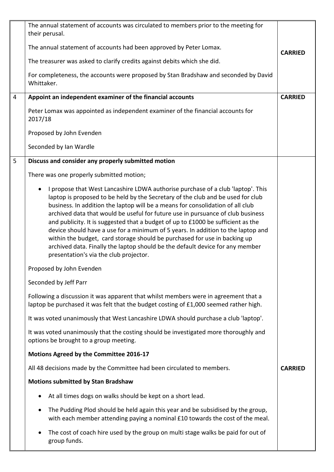|   | The annual statement of accounts was circulated to members prior to the meeting for<br>their perusal.                                                                                                                                                                                                                                                                                                                                                                                                                                                                                                                                                                                                                                |                |
|---|--------------------------------------------------------------------------------------------------------------------------------------------------------------------------------------------------------------------------------------------------------------------------------------------------------------------------------------------------------------------------------------------------------------------------------------------------------------------------------------------------------------------------------------------------------------------------------------------------------------------------------------------------------------------------------------------------------------------------------------|----------------|
|   | The annual statement of accounts had been approved by Peter Lomax.                                                                                                                                                                                                                                                                                                                                                                                                                                                                                                                                                                                                                                                                   | <b>CARRIED</b> |
|   | The treasurer was asked to clarify credits against debits which she did.                                                                                                                                                                                                                                                                                                                                                                                                                                                                                                                                                                                                                                                             |                |
|   | For completeness, the accounts were proposed by Stan Bradshaw and seconded by David<br>Whittaker.                                                                                                                                                                                                                                                                                                                                                                                                                                                                                                                                                                                                                                    |                |
| 4 | Appoint an independent examiner of the financial accounts                                                                                                                                                                                                                                                                                                                                                                                                                                                                                                                                                                                                                                                                            | <b>CARRIED</b> |
|   | Peter Lomax was appointed as independent examiner of the financial accounts for<br>2017/18                                                                                                                                                                                                                                                                                                                                                                                                                                                                                                                                                                                                                                           |                |
|   | Proposed by John Evenden                                                                                                                                                                                                                                                                                                                                                                                                                                                                                                                                                                                                                                                                                                             |                |
|   | Seconded by Ian Wardle                                                                                                                                                                                                                                                                                                                                                                                                                                                                                                                                                                                                                                                                                                               |                |
| 5 | Discuss and consider any properly submitted motion                                                                                                                                                                                                                                                                                                                                                                                                                                                                                                                                                                                                                                                                                   |                |
|   | There was one properly submitted motion;                                                                                                                                                                                                                                                                                                                                                                                                                                                                                                                                                                                                                                                                                             |                |
|   | I propose that West Lancashire LDWA authorise purchase of a club 'laptop'. This<br>$\bullet$<br>laptop is proposed to be held by the Secretary of the club and be used for club<br>business. In addition the laptop will be a means for consolidation of all club<br>archived data that would be useful for future use in pursuance of club business<br>and publicity. It is suggested that a budget of up to £1000 be sufficient as the<br>device should have a use for a minimum of 5 years. In addition to the laptop and<br>within the budget, card storage should be purchased for use in backing up<br>archived data. Finally the laptop should be the default device for any member<br>presentation's via the club projector. |                |
|   | Proposed by John Evenden                                                                                                                                                                                                                                                                                                                                                                                                                                                                                                                                                                                                                                                                                                             |                |
|   | Seconded by Jeff Parr                                                                                                                                                                                                                                                                                                                                                                                                                                                                                                                                                                                                                                                                                                                |                |
|   | Following a discussion it was apparent that whilst members were in agreement that a<br>laptop be purchased it was felt that the budget costing of £1,000 seemed rather high.                                                                                                                                                                                                                                                                                                                                                                                                                                                                                                                                                         |                |
|   | It was voted unanimously that West Lancashire LDWA should purchase a club 'laptop'.                                                                                                                                                                                                                                                                                                                                                                                                                                                                                                                                                                                                                                                  |                |
|   | It was voted unanimously that the costing should be investigated more thoroughly and<br>options be brought to a group meeting.                                                                                                                                                                                                                                                                                                                                                                                                                                                                                                                                                                                                       |                |
|   | Motions Agreed by the Committee 2016-17                                                                                                                                                                                                                                                                                                                                                                                                                                                                                                                                                                                                                                                                                              |                |
|   | All 48 decisions made by the Committee had been circulated to members.                                                                                                                                                                                                                                                                                                                                                                                                                                                                                                                                                                                                                                                               | <b>CARRIED</b> |
|   | <b>Motions submitted by Stan Bradshaw</b>                                                                                                                                                                                                                                                                                                                                                                                                                                                                                                                                                                                                                                                                                            |                |
|   | At all times dogs on walks should be kept on a short lead.<br>$\bullet$                                                                                                                                                                                                                                                                                                                                                                                                                                                                                                                                                                                                                                                              |                |
|   | The Pudding Plod should be held again this year and be subsidised by the group,<br>$\bullet$<br>with each member attending paying a nominal £10 towards the cost of the meal.                                                                                                                                                                                                                                                                                                                                                                                                                                                                                                                                                        |                |
|   | The cost of coach hire used by the group on multi stage walks be paid for out of<br>٠<br>group funds.                                                                                                                                                                                                                                                                                                                                                                                                                                                                                                                                                                                                                                |                |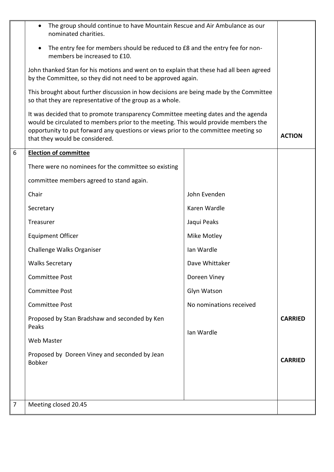| $\overline{7}$ | Meeting closed 20.45                                                                                                                                                                                                                                                                               |                         |                |  |  |
|----------------|----------------------------------------------------------------------------------------------------------------------------------------------------------------------------------------------------------------------------------------------------------------------------------------------------|-------------------------|----------------|--|--|
|                |                                                                                                                                                                                                                                                                                                    |                         |                |  |  |
|                | Proposed by Doreen Viney and seconded by Jean<br><b>Bobker</b>                                                                                                                                                                                                                                     |                         | <b>CARRIED</b> |  |  |
|                | Web Master                                                                                                                                                                                                                                                                                         |                         |                |  |  |
|                | Proposed by Stan Bradshaw and seconded by Ken<br>Peaks                                                                                                                                                                                                                                             | Ian Wardle              | <b>CARRIED</b> |  |  |
|                | <b>Committee Post</b>                                                                                                                                                                                                                                                                              | No nominations received |                |  |  |
|                | <b>Committee Post</b>                                                                                                                                                                                                                                                                              | Glyn Watson             |                |  |  |
|                | <b>Committee Post</b>                                                                                                                                                                                                                                                                              | Doreen Viney            |                |  |  |
|                | <b>Walks Secretary</b>                                                                                                                                                                                                                                                                             | Dave Whittaker          |                |  |  |
|                | Challenge Walks Organiser                                                                                                                                                                                                                                                                          | Ian Wardle              |                |  |  |
|                | <b>Equipment Officer</b>                                                                                                                                                                                                                                                                           | Mike Motley             |                |  |  |
|                | Treasurer                                                                                                                                                                                                                                                                                          | Jaqui Peaks             |                |  |  |
|                | Secretary                                                                                                                                                                                                                                                                                          | Karen Wardle            |                |  |  |
|                | Chair                                                                                                                                                                                                                                                                                              | John Evenden            |                |  |  |
|                | committee members agreed to stand again.                                                                                                                                                                                                                                                           |                         |                |  |  |
|                | There were no nominees for the committee so existing                                                                                                                                                                                                                                               |                         |                |  |  |
| 6              | <b>Election of committee</b>                                                                                                                                                                                                                                                                       |                         |                |  |  |
|                | It was decided that to promote transparency Committee meeting dates and the agenda<br>would be circulated to members prior to the meeting. This would provide members the<br>opportunity to put forward any questions or views prior to the committee meeting so<br>that they would be considered. |                         |                |  |  |
|                | This brought about further discussion in how decisions are being made by the Committee<br>so that they are representative of the group as a whole.                                                                                                                                                 |                         |                |  |  |
|                | John thanked Stan for his motions and went on to explain that these had all been agreed<br>by the Committee, so they did not need to be approved again.                                                                                                                                            |                         |                |  |  |
|                | The entry fee for members should be reduced to £8 and the entry fee for non-<br>$\bullet$<br>members be increased to £10.                                                                                                                                                                          |                         |                |  |  |
|                | The group should continue to have Mountain Rescue and Air Ambulance as our<br>$\bullet$<br>nominated charities.                                                                                                                                                                                    |                         |                |  |  |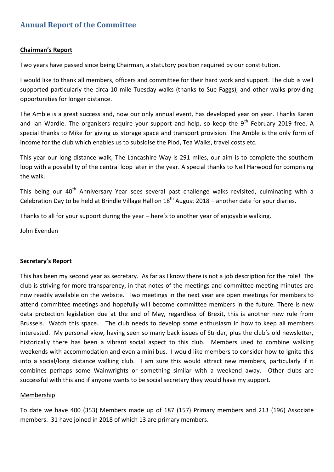# **Annual Report of the Committee**

#### **Chairman's Report**

Two years have passed since being Chairman, a statutory position required by our constitution.

I would like to thank all members, officers and committee for their hard work and support. The club is well supported particularly the circa 10 mile Tuesday walks (thanks to Sue Faggs), and other walks providing opportunities for longer distance.

The Amble is a great success and, now our only annual event, has developed year on year. Thanks Karen and Ian Wardle. The organisers require your support and help, so keep the  $9<sup>th</sup>$  February 2019 free. A special thanks to Mike for giving us storage space and transport provision. The Amble is the only form of income for the club which enables us to subsidise the Plod, Tea Walks, travel costs etc.

This year our long distance walk, The Lancashire Way is 291 miles, our aim is to complete the southern loop with a possibility of the central loop later in the year. A special thanks to Neil Harwood for comprising the walk.

This being our 40<sup>th</sup> Anniversary Year sees several past challenge walks revisited, culminating with a Celebration Day to be held at Brindle Village Hall on  $18<sup>th</sup>$  August 2018 – another date for your diaries.

Thanks to all for your support during the year – here's to another year of enjoyable walking.

John Evenden

#### **Secretary's Report**

This has been my second year as secretary. As far as I know there is not a job description for the role! The club is striving for more transparency, in that notes of the meetings and committee meeting minutes are now readily available on the website. Two meetings in the next year are open meetings for members to attend committee meetings and hopefully will become committee members in the future. There is new data protection legislation due at the end of May, regardless of Brexit, this is another new rule from Brussels. Watch this space. The club needs to develop some enthusiasm in how to keep all members interested. My personal view, having seen so many back issues of Strider, plus the club's old newsletter, historically there has been a vibrant social aspect to this club. Members used to combine walking weekends with accommodation and even a mini bus. I would like members to consider how to ignite this into a social/long distance walking club. I am sure this would attract new members, particularly if it combines perhaps some Wainwrights or something similar with a weekend away. Other clubs are successful with this and if anyone wants to be social secretary they would have my support.

#### **Membership**

To date we have 400 (353) Members made up of 187 (157) Primary members and 213 (196) Associate members. 31 have joined in 2018 of which 13 are primary members.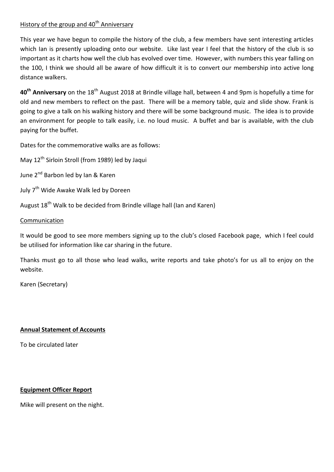# History of the group and 40<sup>th</sup> Anniversary

This year we have begun to compile the history of the club, a few members have sent interesting articles which Ian is presently uploading onto our website. Like last year I feel that the history of the club is so important as it charts how well the club has evolved over time. However, with numbers this year falling on the 100, I think we should all be aware of how difficult it is to convert our membership into active long distance walkers.

40<sup>th</sup> Anniversary on the 18<sup>th</sup> August 2018 at Brindle village hall, between 4 and 9pm is hopefully a time for old and new members to reflect on the past. There will be a memory table, quiz and slide show. Frank is going to give a talk on his walking history and there will be some background music. The idea is to provide an environment for people to talk easily, i.e. no loud music. A buffet and bar is available, with the club paying for the buffet.

Dates for the commemorative walks are as follows:

May 12th Sirloin Stroll (from 1989) led by Jaqui

June 2<sup>nd</sup> Barbon led by Ian & Karen

July 7<sup>th</sup> Wide Awake Walk led by Doreen

August 18<sup>th</sup> Walk to be decided from Brindle village hall (Ian and Karen)

### **Communication**

It would be good to see more members signing up to the club's closed Facebook page, which I feel could be utilised for information like car sharing in the future.

Thanks must go to all those who lead walks, write reports and take photo's for us all to enjoy on the website.

Karen (Secretary)

## **Annual Statement of Accounts**

To be circulated later

## **Equipment Officer Report**

Mike will present on the night.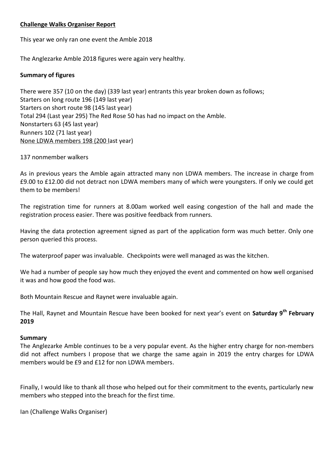### **Challenge Walks Organiser Report**

This year we only ran one event the Amble 2018

The Anglezarke Amble 2018 figures were again very healthy.

#### **Summary of figures**

There were 357 (10 on the day) (339 last year) entrants this year broken down as follows; Starters on long route 196 (149 last year) Starters on short route 98 (145 last year) Total 294 (Last year 295) The Red Rose 50 has had no impact on the Amble. Nonstarters 63 (45 last year) Runners 102 (71 last year) None LDWA members 198 (200 last year)

137 nonmember walkers

As in previous years the Amble again attracted many non LDWA members. The increase in charge from £9.00 to £12.00 did not detract non LDWA members many of which were youngsters. If only we could get them to be members!

The registration time for runners at 8.00am worked well easing congestion of the hall and made the registration process easier. There was positive feedback from runners.

Having the data protection agreement signed as part of the application form was much better. Only one person queried this process.

The waterproof paper was invaluable. Checkpoints were well managed as was the kitchen.

We had a number of people say how much they enjoyed the event and commented on how well organised it was and how good the food was.

Both Mountain Rescue and Raynet were invaluable again.

The Hall, Raynet and Mountain Rescue have been booked for next year's event on **Saturday 9th February 2019**

#### **Summary**

The Anglezarke Amble continues to be a very popular event. As the higher entry charge for non-members did not affect numbers I propose that we charge the same again in 2019 the entry charges for LDWA members would be £9 and £12 for non LDWA members.

Finally, I would like to thank all those who helped out for their commitment to the events, particularly new members who stepped into the breach for the first time.

Ian (Challenge Walks Organiser)